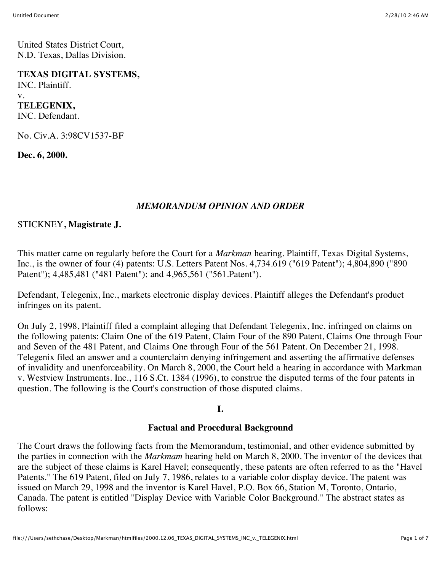United States District Court, N.D. Texas, Dallas Division.

**TEXAS DIGITAL SYSTEMS,** INC. Plaintiff. v. **TELEGENIX,** INC. Defendant.

No. Civ.A. 3:98CV1537-BF

**Dec. 6, 2000.**

### *MEMORANDUM OPINION AND ORDER*

### STICKNEY**, Magistrate J.**

This matter came on regularly before the Court for a *Markman* hearing. Plaintiff, Texas Digital Systems, Inc., is the owner of four (4) patents: U.S. Letters Patent Nos. 4,734.619 ("619 Patent"); 4,804,890 ("890 Patent"); 4,485,481 ("481 Patent"); and 4,965,561 ("561.Patent").

Defendant, Telegenix, Inc., markets electronic display devices. Plaintiff alleges the Defendant's product infringes on its patent.

On July 2, 1998, Plaintiff filed a complaint alleging that Defendant Telegenix, Inc. infringed on claims on the following patents: Claim One of the 619 Patent, Claim Four of the 890 Patent, Claims One through Four and Seven of the 481 Patent, and Claims One through Four of the 561 Patent. On December 21, 1998. Telegenix filed an answer and a counterclaim denying infringement and asserting the affirmative defenses of invalidity and unenforceability. On March 8, 2000, the Court held a hearing in accordance with Markman v. Westview Instruments. Inc., 116 S.Ct. 1384 (1996), to construe the disputed terms of the four patents in question. The following is the Court's construction of those disputed claims.

### **I.**

#### **Factual and Procedural Background**

The Court draws the following facts from the Memorandum, testimonial, and other evidence submitted by the parties in connection with the *Markmam* hearing held on March 8, 2000. The inventor of the devices that are the subject of these claims is Karel Havel; consequently, these patents are often referred to as the "Havel Patents." The 619 Patent, filed on July 7, 1986, relates to a variable color display device. The patent was issued on March 29, 1998 and the inventor is Karel Havel, P.O. Box 66, Station M, Toronto, Ontario, Canada. The patent is entitled "Display Device with Variable Color Background." The abstract states as follows: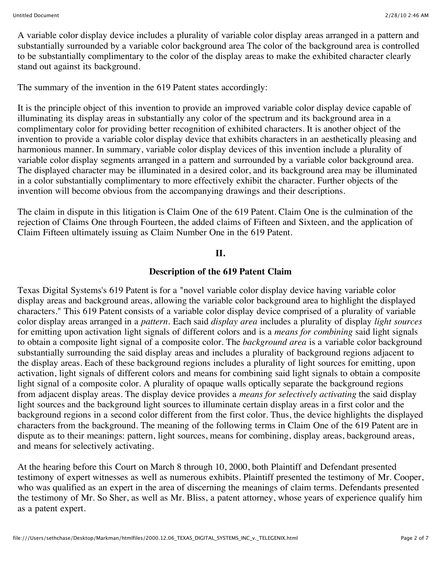A variable color display device includes a plurality of variable color display areas arranged in a pattern and substantially surrounded by a variable color background area The color of the background area is controlled to be substantially complimentary to the color of the display areas to make the exhibited character clearly stand out against its background.

The summary of the invention in the 619 Patent states accordingly:

It is the principle object of this invention to provide an improved variable color display device capable of illuminating its display areas in substantially any color of the spectrum and its background area in a complimentary color for providing better recognition of exhibited characters. It is another object of the invention to provide a variable color display device that exhibits characters in an aesthetically pleasing and harmonious manner. In summary, variable color display devices of this invention include a plurality of variable color display segments arranged in a pattern and surrounded by a variable color background area. The displayed character may be illuminated in a desired color, and its background area may be illuminated in a color substantially complimentary to more effectively exhibit the character. Further objects of the invention will become obvious from the accompanying drawings and their descriptions.

The claim in dispute in this litigation is Claim One of the 619 Patent. Claim One is the culmination of the rejection of Claims One through Fourteen, the added claims of Fifteen and Sixteen, and the application of Claim Fifteen ultimately issuing as Claim Number One in the 619 Patent.

#### **II.**

#### **Description of the 619 Patent Claim**

Texas Digital Systems's 619 Patent is for a "novel variable color display device having variable color display areas and background areas, allowing the variable color background area to highlight the displayed characters." This 619 Patent consists of a variable color display device comprised of a plurality of variable color display areas arranged in a *pattern.* Each said *display area* includes a plurality of display *light sources* for emitting upon activation light signals of different colors and is a *means for combining* said light signals to obtain a composite light signal of a composite color. The *background area* is a variable color background substantially surrounding the said display areas and includes a plurality of background regions adjacent to the display areas. Each of these background regions includes a plurality of light sources for emitting, upon activation, light signals of different colors and means for combining said light signals to obtain a composite light signal of a composite color. A plurality of opaque walls optically separate the background regions from adjacent display areas. The display device provides a *means for selectively activating* the said display light sources and the background light sources to illuminate certain display areas in a first color and the background regions in a second color different from the first color. Thus, the device highlights the displayed characters from the background. The meaning of the following terms in Claim One of the 619 Patent are in dispute as to their meanings: pattern, light sources, means for combining, display areas, background areas, and means for selectively activating.

At the hearing before this Court on March 8 through 10, 2000, both Plaintiff and Defendant presented testimony of expert witnesses as well as numerous exhibits. Plaintiff presented the testimony of Mr. Cooper, who was qualified as an expert in the area of discerning the meanings of claim terms. Defendants presented the testimony of Mr. So Sher, as well as Mr. Bliss, a patent attorney, whose years of experience qualify him as a patent expert.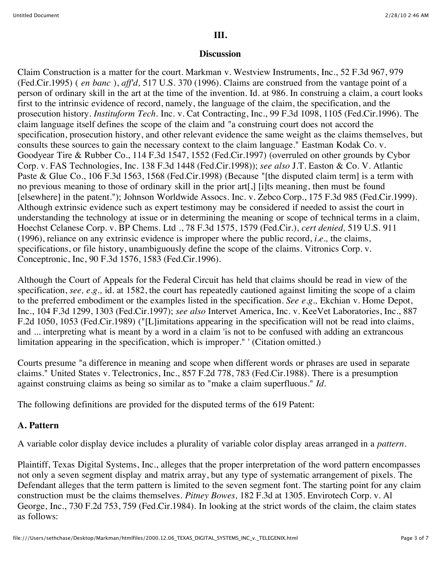#### **III.**

#### **Discussion**

Claim Construction is a matter for the court. Markman v. Westview Instruments, Inc., 52 F.3d 967, 979 (Fed.Cir.1995) ( *en banc* ), *aff'd,* 517 U.S. 370 (1996). Claims are construed from the vantage point of a person of ordinary skill in the art at the time of the invention. Id. at 986. In construing a claim, a court looks first to the intrinsic evidence of record, namely, the language of the claim, the specification, and the prosecution history. *Instituform Tech.* Inc. v. Cat Contracting, Inc., 99 F.3d 1098, 1105 (Fed.Cir.1996). The claim language itself defines the scope of the claim and "a construing court does not accord the specification, prosecution history, and other relevant evidence the same weight as the claims themselves, but consults these sources to gain the necessary context to the claim language." Eastman Kodak Co. v. Goodyear Tire & Rubber Co., 114 F.3d 1547, 1552 (Fed.Cir.1997) (overruled on other grounds by Cybor Corp. v. FAS Technologies, Inc. 138 F.3d 1448 (Fed.Cir.1998)); *see also* J.T. Easton & Co. V. Atlantic Paste & Glue Co., 106 F.3d 1563, 1568 (Fed.Cir.1998) (Because "[the disputed claim term] is a term with no previous meaning to those of ordinary skill in the prior art[,] [i]ts meaning, then must be found [elsewhere] in the patent."); Johnson Worldwide Assocs. Inc. v. Zebco Corp., 175 F.3d 985 (Fed.Cir.1999). Although extrinsic evidence such as expert testimony may be considered if needed to assist the court in understanding the technology at issue or in determining the meaning or scope of technical terms in a claim, Hoechst Celanese Corp. v. BP Chems. Ltd ., 78 F.3d 1575, 1579 (Fed.Cir.), *cert denied,* 519 U.S. 911 (1996), reliance on any extrinsic evidence is improper where the public record, *i.e.,* the claims, specifications, or file history, unambiguously define the scope of the claims. Vitronics Corp. v. Conceptronic, Inc, 90 F.3d 1576, 1583 (Fed.Cir.1996).

Although the Court of Appeals for the Federal Circuit has held that claims should be read in view of the specification, *see*, *e.g.*, id. at 1582, the court has repeatedly cautioned against limiting the scope of a claim to the preferred embodiment or the examples listed in the specification. *See e.g.,* Ekchian v. Home Depot, Inc., 104 F.3d 1299, 1303 (Fed.Cir.1997); *see also* Intervet America, Inc. v. KeeVet Laboratories, Inc., 887 F.2d 1050, 1053 (Fed.Cir.1989) ("[L]imitations appearing in the specification will not be read into claims, and ... interpreting what is meant by a word in a claim 'is not to be confused with adding an extrancous limitation appearing in the specification, which is improper." ' (Citation omitted.)

Courts presume "a difference in meaning and scope when different words or phrases are used in separate claims." United States v. Telectronics, Inc., 857 F.2d 778, 783 (Fed.Cir.1988). There is a presumption against construing claims as being so similar as to "make a claim superfluous." *Id.*

The following definitions are provided for the disputed terms of the 619 Patent:

## **A. Pattern**

A variable color display device includes a plurality of variable color display areas arranged in a *pattern.*

Plaintiff, Texas Digital Systems, Inc., alleges that the proper interpretation of the word pattern encompasses not only a seven segment display and matrix array, but any type of systematic arrangement of pixels. The Defendant alleges that the term pattern is limited to the seven segment font. The starting point for any claim construction must be the claims themselves. *Pitney Bowes,* 182 F.3d at 1305. Envirotech Corp. v. Al George, Inc., 730 F.2d 753, 759 (Fed.Cir.1984). In looking at the strict words of the claim, the claim states as follows: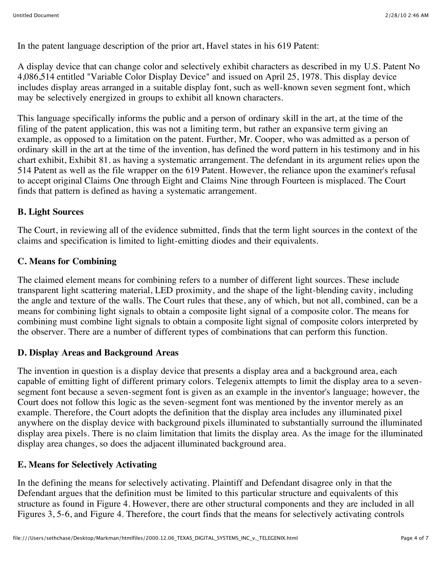In the patent language description of the prior art, Havel states in his 619 Patent:

A display device that can change color and selectively exhibit characters as described in my U.S. Patent No 4,086,514 entitled "Variable Color Display Device" and issued on April 25, 1978. This display device includes display areas arranged in a suitable display font, such as well-known seven segment font, which may be selectively energized in groups to exhibit all known characters.

This language specifically informs the public and a person of ordinary skill in the art, at the time of the filing of the patent application, this was not a limiting term, but rather an expansive term giving an example, as opposed to a limitation on the patent. Further, Mr. Cooper, who was admitted as a person of ordinary skill in the art at the time of the invention, has defined the word pattern in his testimony and in his chart exhibit, Exhibit 81. as having a systematic arrangement. The defendant in its argument relies upon the 514 Patent as well as the file wrapper on the 619 Patent. However, the reliance upon the examiner's refusal to accept original Claims One through Eight and Claims Nine through Fourteen is misplaced. The Court finds that pattern is defined as having a systematic arrangement.

### **B. Light Sources**

The Court, in reviewing all of the evidence submitted, finds that the term light sources in the context of the claims and specification is limited to light-emitting diodes and their equivalents.

### **C. Means for Combining**

The claimed element means for combining refers to a number of different light sources. These include transparent light scattering material, LED proximity, and the shape of the light-blending cavity, including the angle and texture of the walls. The Court rules that these, any of which, but not all, combined, can be a means for combining light signals to obtain a composite light signal of a composite color. The means for combining must combine light signals to obtain a composite light signal of composite colors interpreted by the observer. There are a number of different types of combinations that can perform this function.

### **D. Display Areas and Background Areas**

The invention in question is a display device that presents a display area and a background area, each capable of emitting light of different primary colors. Telegenix attempts to limit the display area to a sevensegment font because a seven-segment font is given as an example in the inventor's language; however, the Court does not follow this logic as the seven-segment font was mentioned by the inventor merely as an example. Therefore, the Court adopts the definition that the display area includes any illuminated pixel anywhere on the display device with background pixels illuminated to substantially surround the illuminated display area pixels. There is no claim limitation that limits the display area. As the image for the illuminated display area changes, so does the adjacent illuminated background area.

### **E. Means for Selectively Activating**

In the defining the means for selectively activating. Plaintiff and Defendant disagree only in that the Defendant argues that the definition must be limited to this particular structure and equivalents of this structure as found in Figure 4. However, there are other structural components and they are included in all Figures 3, 5-6, and Figure 4. Therefore, the court finds that the means for selectively activating controls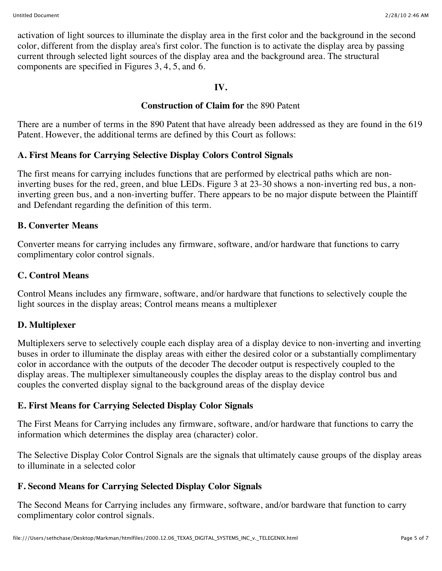activation of light sources to illuminate the display area in the first color and the background in the second color, different from the display area's first color. The function is to activate the display area by passing current through selected light sources of the display area and the background area. The structural components are specified in Figures 3, 4, 5, and 6.

### **IV.**

### **Construction of Claim for** the 890 Patent

There are a number of terms in the 890 Patent that have already been addressed as they are found in the 619 Patent. However, the additional terms are defined by this Court as follows:

### **A. First Means for Carrying Selective Display Colors Control Signals**

The first means for carrying includes functions that are performed by electrical paths which are noninverting buses for the red, green, and blue LEDs. Figure 3 at 23-30 shows a non-inverting red bus, a noninverting green bus, and a non-inverting buffer. There appears to be no major dispute between the Plaintiff and Defendant regarding the definition of this term.

### **B. Converter Means**

Converter means for carrying includes any firmware, software, and/or hardware that functions to carry complimentary color control signals.

### **C. Control Means**

Control Means includes any firmware, software, and/or hardware that functions to selectively couple the light sources in the display areas; Control means means a multiplexer

## **D. Multiplexer**

Multiplexers serve to selectively couple each display area of a display device to non-inverting and inverting buses in order to illuminate the display areas with either the desired color or a substantially complimentary color in accordance with the outputs of the decoder The decoder output is respectively coupled to the display areas. The multiplexer simultaneously couples the display areas to the display control bus and couples the converted display signal to the background areas of the display device

### **E. First Means for Carrying Selected Display Color Signals**

The First Means for Carrying includes any firmware, software, and/or hardware that functions to carry the information which determines the display area (character) color.

The Selective Display Color Control Signals are the signals that ultimately cause groups of the display areas to illuminate in a selected color

## **F. Second Means for Carrying Selected Display Color Signals**

The Second Means for Carrying includes any firmware, software, and/or bardware that function to carry complimentary color control signals.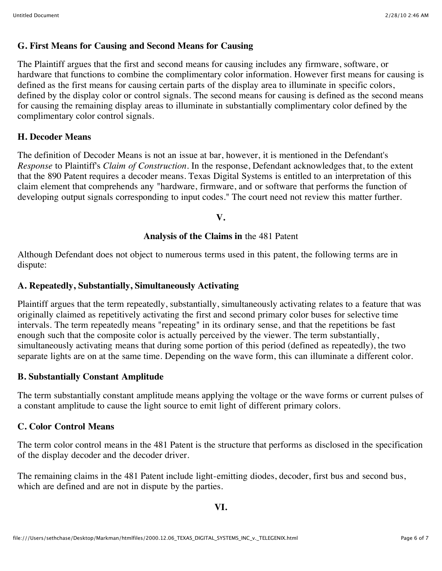### **G. First Means for Causing and Second Means for Causing**

The Plaintiff argues that the first and second means for causing includes any firmware, software, or hardware that functions to combine the complimentary color information. However first means for causing is defined as the first means for causing certain parts of the display area to illuminate in specific colors, defined by the display color or control signals. The second means for causing is defined as the second means for causing the remaining display areas to illuminate in substantially complimentary color defined by the complimentary color control signals.

### **H. Decoder Means**

The definition of Decoder Means is not an issue at bar, however, it is mentioned in the Defendant's *Response* to Plaintiff's *Claim of Construction.* In the response, Defendant acknowledges that, to the extent that the 890 Patent requires a decoder means. Texas Digital Systems is entitled to an interpretation of this claim element that comprehends any "hardware, firmware, and or software that performs the function of developing output signals corresponding to input codes." The court need not review this matter further.

### **V.**

### **Analysis of the Claims in** the 481 Patent

Although Defendant does not object to numerous terms used in this patent, the following terms are in dispute:

## **A. Repeatedly, Substantially, Simultaneously Activating**

Plaintiff argues that the term repeatedly, substantially, simultaneously activating relates to a feature that was originally claimed as repetitively activating the first and second primary color buses for selective time intervals. The term repeatedly means "repeating" in its ordinary sense, and that the repetitions be fast enough such that the composite color is actually perceived by the viewer. The term substantially, simultaneously activating means that during some portion of this period (defined as repeatedly), the two separate lights are on at the same time. Depending on the wave form, this can illuminate a different color.

### **B. Substantially Constant Amplitude**

The term substantially constant amplitude means applying the voltage or the wave forms or current pulses of a constant amplitude to cause the light source to emit light of different primary colors.

## **C. Color Control Means**

The term color control means in the 481 Patent is the structure that performs as disclosed in the specification of the display decoder and the decoder driver.

The remaining claims in the 481 Patent include light-emitting diodes, decoder, first bus and second bus, which are defined and are not in dispute by the parties.